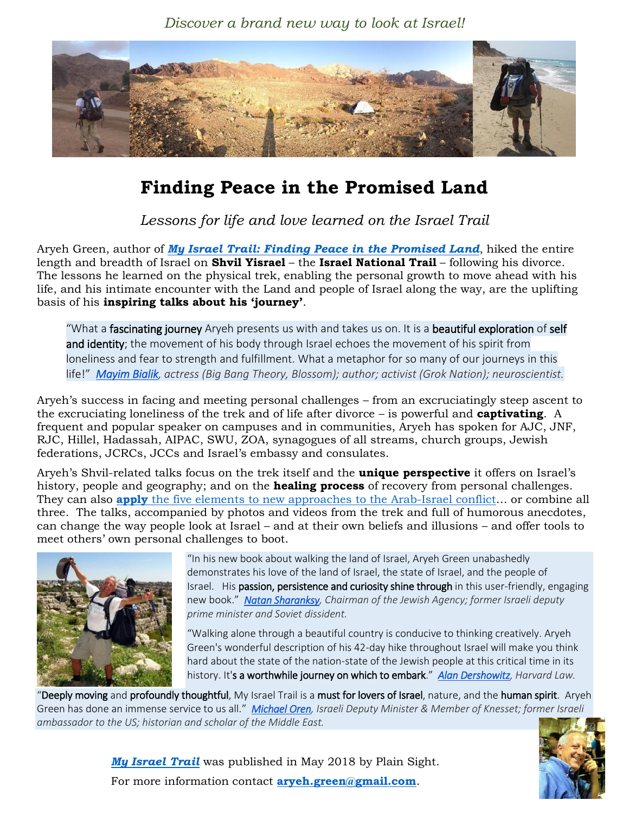*Discover a brand new way to look at Israel!*



# **Finding Peace in the Promised Land**

*Lessons for life and love learned on the Israel Trail*

Aryeh Green, author of *[My Israel Trail: Finding Peace in the Promised](http://www.myisraeltrail.com/) Land*, hiked the entire length and breadth of Israel on **Shvil Yisrael** – the **Israel National Trail** – following his divorce. The lessons he learned on the physical trek, enabling the personal growth to move ahead with his life, and his intimate encounter with the Land and people of Israel along the way, are the uplifting basis of his **inspiring talks about his 'journey'**.

"What a fascinating journey Aryeh presents us with and takes us on. It is a beautiful exploration of self and identity; the movement of his body through Israel echoes the movement of his spirit from loneliness and fear to strength and fulfillment. What a metaphor for so many of our journeys in this life!" *[Mayim Bialik,](https://en.wikipedia.org/wiki/Mayim_Bialik) actress (Big Bang Theory, Blossom); author; activist (Grok Nation); neuroscientist.*

Aryeh's success in facing and meeting personal challenges – from an excruciatingly steep ascent to the excruciating loneliness of the trek and of life after divorce – is powerful and **captivating**. A frequent and popular speaker on campuses and in communities, Aryeh has spoken for AJC, JNF, RJC, Hillel, Hadassah, AIPAC, SWU, ZOA, synagogues of all streams, church groups, Jewish federations, JCRCs, JCCs and Israel's embassy and consulates.

Aryeh's Shvil-related talks focus on the trek itself and the **unique perspective** it offers on Israel's history, people and geography; and on the **healing process** of recovery from personal challenges. They can also **apply** the five elements to new approaches to [the Arab-Israel conflict](https://www.jewishpolicycenter.org/2017/05/01/5-step-path-arab-israel-peace/)… or combine all three. The talks, accompanied by photos and videos from the trek and full of humorous anecdotes, can change the way people look at Israel – and at their own beliefs and illusions – and offer tools to meet others' own personal challenges to boot.



"In his new book about walking the land of Israel, Aryeh Green unabashedly demonstrates his love of the land of Israel, the state of Israel, and the people of Israel. His passion, persistence and curiosity shine through in this user-friendly, engaging new book." *[Natan Sharanksy,](https://en.wikipedia.org/wiki/Natan_Sharansky) Chairman of the Jewish Agency; former Israeli deputy prime minister and Soviet dissident.*

"Walking alone through a beautiful country is conducive to thinking creatively. Aryeh Green's wonderful description of his 42-day hike throughout Israel will make you think hard about the state of the nation-state of the Jewish people at this critical time in its history. It's a worthwhile journey on which to embark." *[Alan Dershowitz,](http://hls.harvard.edu/faculty/directory/10210/Dershowitz) Harvard Law.*

"Deeply moving and profoundly thoughtful, My Israel Trail is a must for lovers of Israel, nature, and the human spirit. Aryeh Green has done an immense service to us all." *[Michael Oren,](https://en.wikipedia.org/wiki/Michael_Oren) Israeli Deputy Minister & Member of Knesset; former Israeli ambassador to the US; historian and scholar of the Middle East.*

*[My Israel Trail](http://www.myisraeltrail.com/)* was published in May 2018 by Plain Sight.

For more information contact **[aryeh.green@gmail.com](mailto:aryeh.green@gmail.com)**.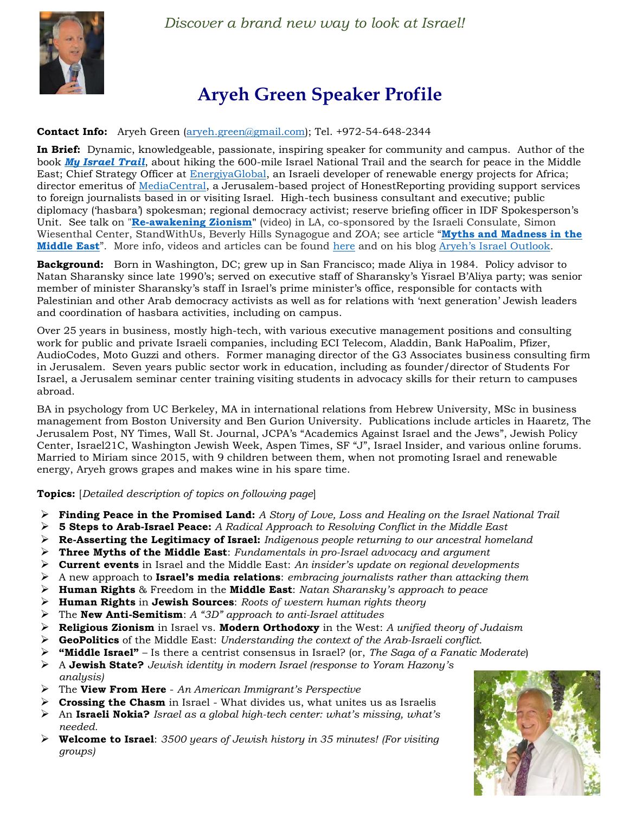

*Discover a brand new way to look at Israel!*

# **Aryeh Green Speaker Profile**

#### **Contact Info:** Aryeh Green [\(aryeh.green@gmail.com\)](mailto:aryeh.green@gmail.com); Tel. +972-54-648-2344

**In Brief:** Dynamic, knowledgeable, passionate, inspiring speaker for community and campus. Author of the book *[My Israel Trail](http://www.myisraeltrail.com/)*, about hiking the 600-mile Israel National Trail and the search for peace in the Middle East; Chief Strategy Officer at [EnergiyaGlobal,](http://www.gigawattglobal.com/) an Israeli developer of renewable energy projects for Africa; director emeritus of [MediaCentral,](http://www.m-central.org/) a Jerusalem-based project of HonestReporting providing support services to foreign journalists based in or visiting Israel. High-tech business consultant and executive; public diplomacy ('hasbara') spokesman; regional democracy activist; reserve briefing officer in IDF Spokesperson's Unit. See talk on "**[Re-awakening Zionism"](https://www.youtube.com/watch?v=ee5QBJcdP8Q&feature=youtu.be)** (video) in LA, co-sponsored by the Israeli Consulate, Simon Wiesenthal Center, StandWithUs, Beverly Hills Synagogue and ZOA; see article "**[Myths and Madness](https://www.jewishpolicycenter.org/2016/12/29/myths-madness-middle-east/) in the [Middle East](https://www.jewishpolicycenter.org/2016/12/29/myths-madness-middle-east/)**". More info, videos and articles can be found [here](http://www.myisraeltrail.com/about) and on his blog [Aryeh's Israel Outlook](http://aryeh-israel.blogspot.co.il/).

**Background:** Born in Washington, DC; grew up in San Francisco; made Aliya in 1984. Policy advisor to Natan Sharansky since late 1990's; served on executive staff of Sharansky's Yisrael B'Aliya party; was senior member of minister Sharansky's staff in Israel's prime minister's office, responsible for contacts with Palestinian and other Arab democracy activists as well as for relations with 'next generation' Jewish leaders and coordination of hasbara activities, including on campus.

Over 25 years in business, mostly high-tech, with various executive management positions and consulting work for public and private Israeli companies, including ECI Telecom, Aladdin, Bank HaPoalim, Pfizer, AudioCodes, Moto Guzzi and others. Former managing director of the G3 Associates business consulting firm in Jerusalem. Seven years public sector work in education, including as founder/director of Students For Israel, a Jerusalem seminar center training visiting students in advocacy skills for their return to campuses abroad.

BA in psychology from UC Berkeley, MA in international relations from Hebrew University, MSc in business management from Boston University and Ben Gurion University. Publications include articles in Haaretz, The Jerusalem Post, NY Times, Wall St. Journal, JCPA's "Academics Against Israel and the Jews", Jewish Policy Center, Israel21C, Washington Jewish Week, Aspen Times, SF "J", Israel Insider, and various online forums. Married to Miriam since 2015, with 9 children between them, when not promoting Israel and renewable energy, Aryeh grows grapes and makes wine in his spare time.

**Topics:** [*Detailed description of topics on following page*]

- **Finding Peace in the Promised Land:** *A Story of Love, Loss and Healing on the Israel National Trail*
- **5 Steps to Arab-Israel Peace:** *A Radical Approach to Resolving Conflict in the Middle East*
- **Re-Asserting the Legitimacy of Israel:** *Indigenous people returning to our ancestral homeland*
- **Three Myths of the Middle East**: *Fundamentals in pro-Israel advocacy and argument*
- **Current events** in Israel and the Middle East: *An insider's update on regional developments*
- A new approach to **Israel's media relations**: *embracing journalists rather than attacking them*
- **Human Rights** & Freedom in the **Middle East**: *Natan Sharansky's approach to peace*
- **Human Rights** in **Jewish Sources**: *Roots of western human rights theory*
- The **New Anti-Semitism**: *A "3D" approach to anti-Israel attitudes*
- **Religious Zionism** in Israel vs. **Modern Orthodoxy** in the West: *A unified theory of Judaism*
- **GeoPolitics** of the Middle East: *Understanding the context of the Arab-Israeli conflict.*
- **"Middle Israel"**  Is there a centrist consensus in Israel? (or, *The Saga of a Fanatic Moderate*)
- A **Jewish State?** *Jewish identity in modern Israel (response to Yoram Hazony's analysis)*
- The **View From Here** *An American Immigrant's Perspective*
- **Exercise 2 Figure 2 Figure 2 Figure 2 Figure 2 Figure 2 Figure 2 Figure 2 Figure 2 Figure 2 Figure 2 Figure 2 Figure 2 Figure 2 Figure 2 Figure 2 Figure 2 Figure 2 Figure 2 Figure 2 Figure 2 Figure 2 Figure 2 Figure 2 Fi**
- An **Israeli Nokia?** *Israel as a global high-tech center: what's missing, what's needed.*
- **Welcome to Israel**: *3500 years of Jewish history in 35 minutes! (For visiting groups)*